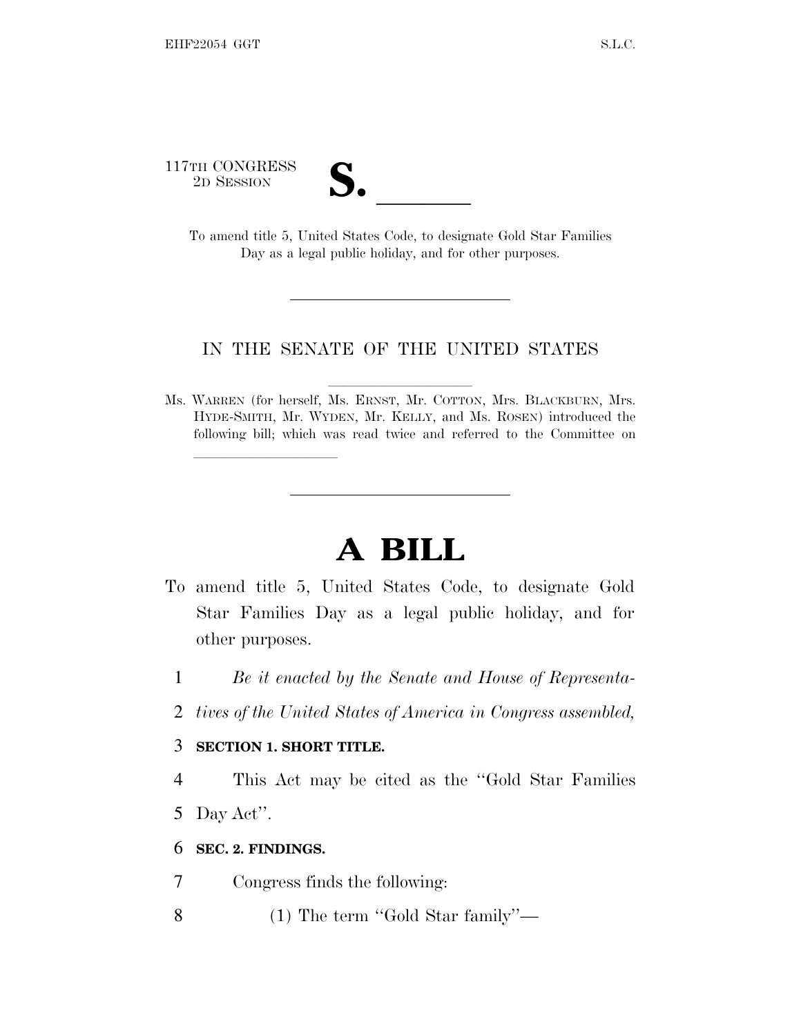117TH CONGRESS

| $\overline{\phantom{a}}$ |  |
|--------------------------|--|

TH CONGRESS<br>
2D SESSION<br>
To amend title 5, United States Code, to designate Gold Star Families Day as a legal public holiday, and for other purposes.

## IN THE SENATE OF THE UNITED STATES

Ms. WARREN (for herself, Ms. ERNST, Mr. COTTON, Mrs. BLACKBURN, Mrs. HYDE-SMITH, Mr. WYDEN, Mr. KELLY, and Ms. ROSEN) introduced the following bill; which was read twice and referred to the Committee on

## **A BILL**

- To amend title 5, United States Code, to designate Gold Star Families Day as a legal public holiday, and for other purposes.
	- 1 *Be it enacted by the Senate and House of Representa-*
	- 2 *tives of the United States of America in Congress assembled,*

## 3 **SECTION 1. SHORT TITLE.**

lland and a state of the state of the state of the state of the state of the state of the state of the state o

- 4 This Act may be cited as the ''Gold Star Families 5 Day Act''.
- 6 **SEC. 2. FINDINGS.**
- 7 Congress finds the following:
- 8 (1) The term ''Gold Star family''—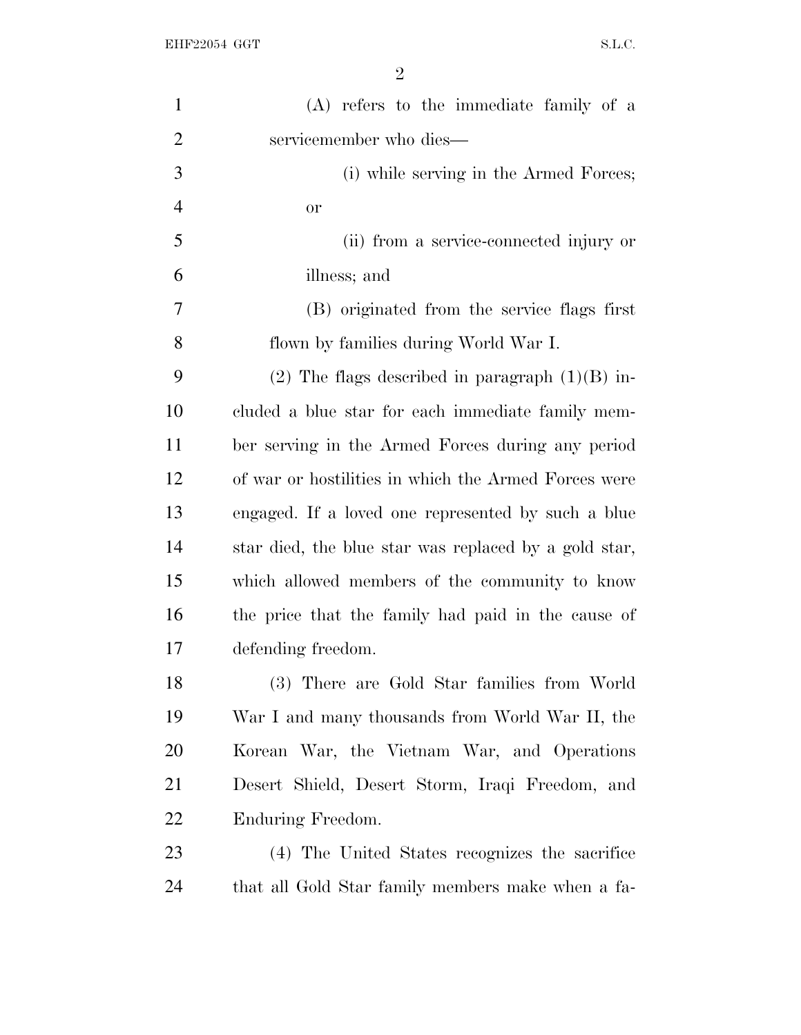| $\mathbf{1}$   | (A) refers to the immediate family of a               |
|----------------|-------------------------------------------------------|
| $\overline{2}$ | servicemember who dies-                               |
| 3              | (i) while serving in the Armed Forces;                |
| $\overline{4}$ | or                                                    |
| 5              | (ii) from a service-connected injury or               |
| 6              | illness; and                                          |
| $\overline{7}$ | (B) originated from the service flags first           |
| 8              | flown by families during World War I.                 |
| 9              | $(2)$ The flags described in paragraph $(1)(B)$ in-   |
| 10             | cluded a blue star for each immediate family mem-     |
| 11             | ber serving in the Armed Forces during any period     |
| 12             | of war or hostilities in which the Armed Forces were  |
| 13             | engaged. If a loved one represented by such a blue    |
| 14             | star died, the blue star was replaced by a gold star, |
| 15             | which allowed members of the community to know        |
| 16             | the price that the family had paid in the cause of    |
| 17             | defending freedom.                                    |
| 18             | (3) There are Gold Star families from World           |
| 19             | War I and many thousands from World War II, the       |
| <b>20</b>      | Korean War, the Vietnam War, and Operations           |
| 21             | Desert Shield, Desert Storm, Iraqi Freedom, and       |
| 22             | Enduring Freedom.                                     |
| 23             | (4) The United States recognizes the sacrifice        |
| 24             | that all Gold Star family members make when a fa-     |
|                |                                                       |